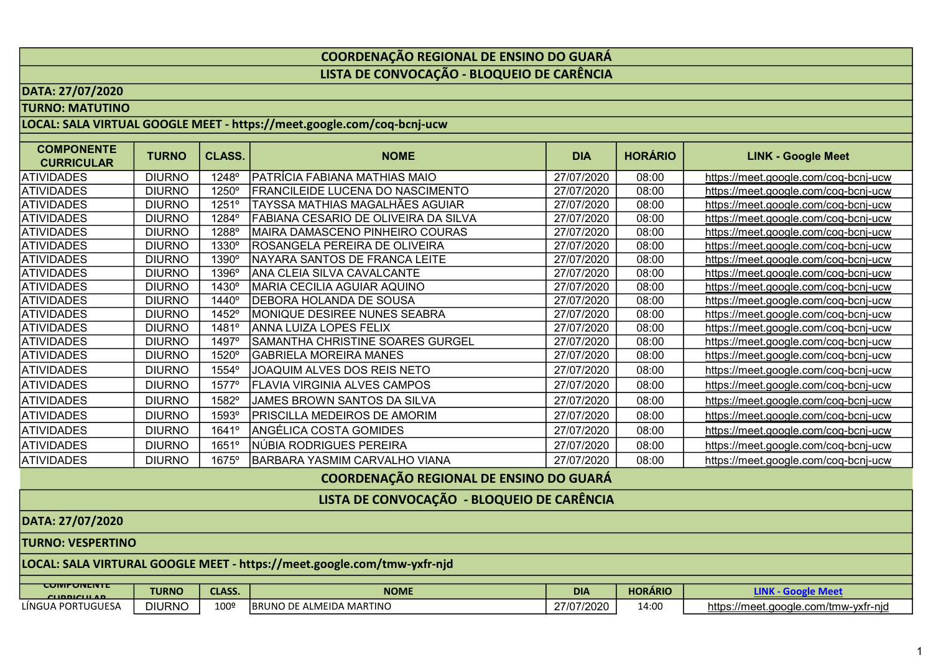## COORDENAÇÃO REGIONAL DE ENSINO DO GUARÁ LISTA DE CONVOCAÇÃO - BLOQUEIO DE CARÊNCIA

### DATA: 27/07/2020

TURNO: MATUTINO

## LOCAL: SALA VIRTUAL GOOGLE MEET - https://meet.google.com/coq-bcnj-ucw

| <b>COMPONENTE</b><br><b>CURRICULAR</b>     | <b>TURNO</b>  | <b>CLASS.</b> | <b>NOME</b>                             | <b>DIA</b> | <b>HORÁRIO</b> | <b>LINK - Google Meet</b>                    |
|--------------------------------------------|---------------|---------------|-----------------------------------------|------------|----------------|----------------------------------------------|
| <b>ATIVIDADES</b>                          | <b>DIURNO</b> | 1248°         | PATRÍCIA FABIANA MATHIAS MAIO           | 27/07/2020 | 08:00          | https://meet.google.com/coq-bcnj-ucw         |
| <b>ATIVIDADES</b>                          | <b>DIURNO</b> | 1250°         | FRANCILEIDE LUCENA DO NASCIMENTO        | 27/07/2020 | 08:00          | https://meet.google.com/coq-bcnj-ucw         |
| <b>ATIVIDADES</b>                          | <b>DIURNO</b> | 1251°         | TAYSSA MATHIAS MAGALHÃES AGUIAR         | 27/07/2020 | 08:00          | https://meet.google.com/coq-bcnj-ucw         |
| <b>ATIVIDADES</b>                          | <b>DIURNO</b> | 1284°         | FABIANA CESARIO DE OLIVEIRA DA SILVA    | 27/07/2020 | 08:00          | <u> https://meet.google.com/coq-bcnj-ucw</u> |
| <b>ATIVIDADES</b>                          | <b>DIURNO</b> | 1288°         | MAIRA DAMASCENO PINHEIRO COURAS         | 27/07/2020 | 08:00          | https://meet.google.com/coq-bcnj-ucw         |
| <b>ATIVIDADES</b>                          | <b>DIURNO</b> | 1330°         | IROSANGELA PEREIRA DE OLIVEIRA          | 27/07/2020 | 08:00          | https://meet.google.com/coq-bcnj-ucw         |
| <b>ATIVIDADES</b>                          | <b>DIURNO</b> | 1390°         | NAYARA SANTOS DE FRANCA LEITE           | 27/07/2020 | 08:00          | https://meet.google.com/coq-bcnj-ucw         |
| <b>ATIVIDADES</b>                          | <b>DIURNO</b> | 1396°         | ANA CLEIA SILVA CAVALCANTE              | 27/07/2020 | 08:00          | https://meet.google.com/coq-bcnj-ucw         |
| <b>ATIVIDADES</b>                          | <b>DIURNO</b> | 1430°         | MARIA CECILIA AGUIAR AQUINO             | 27/07/2020 | 08:00          | https://meet.google.com/coq-bcnj-ucw         |
| <b>ATIVIDADES</b>                          | <b>DIURNO</b> | 1440°         | <b>DEBORA HOLANDA DE SOUSA</b>          | 27/07/2020 | 08:00          | https://meet.google.com/coq-bcnj-ucw         |
| <b>ATIVIDADES</b>                          | <b>DIURNO</b> | 1452°         | MONIQUE DESIREE NUNES SEABRA            | 27/07/2020 | 08:00          | https://meet.google.com/coq-bcnj-ucw         |
| <b>ATIVIDADES</b>                          | <b>DIURNO</b> | 1481°         | ANNA LUIZA LOPES FELIX                  | 27/07/2020 | 08:00          | https://meet.google.com/coq-bcnj-ucw         |
| <b>ATIVIDADES</b>                          | <b>DIURNO</b> | 1497°         | <b>SAMANTHA CHRISTINE SOARES GURGEL</b> | 27/07/2020 | 08:00          | https://meet.google.com/coq-bcnj-ucw         |
| <b>ATIVIDADES</b>                          | <b>DIURNO</b> | 1520°         | GABRIELA MOREIRA MANES                  | 27/07/2020 | 08:00          | https://meet.google.com/coq-bcnj-ucw         |
| <b>ATIVIDADES</b>                          | <b>DIURNO</b> | 1554°         | JOAQUIM ALVES DOS REIS NETO             | 27/07/2020 | 08:00          | https://meet.google.com/coq-bcnj-ucw         |
| <b>ATIVIDADES</b>                          | <b>DIURNO</b> | 1577°         | <b>FLAVIA VIRGINIA ALVES CAMPOS</b>     | 27/07/2020 | 08:00          | https://meet.google.com/coq-bcnj-ucw         |
| <b>ATIVIDADES</b>                          | <b>DIURNO</b> | 1582°         | JAMES BROWN SANTOS DA SILVA             | 27/07/2020 | 08:00          | https://meet.google.com/coq-bcnj-ucw         |
| <b>ATIVIDADES</b>                          | <b>DIURNO</b> | 1593°         | IPRISCILLA MEDEIROS DE AMORIM           | 27/07/2020 | 08:00          | https://meet.google.com/coq-bcnj-ucw         |
| <b>ATIVIDADES</b>                          | <b>DIURNO</b> | 1641°         | ANGÉLICA COSTA GOMIDES                  | 27/07/2020 | 08:00          | https://meet.google.com/coq-bcnj-ucw         |
| <b>ATIVIDADES</b>                          | <b>DIURNO</b> | 1651°         | NÚBIA RODRIGUES PEREIRA                 | 27/07/2020 | 08:00          | https://meet.google.com/coq-bcnj-ucw         |
| <b>ATIVIDADES</b>                          | <b>DIURNO</b> | 1675°         | BARBARA YASMIM CARVALHO VIANA           | 27/07/2020 | 08:00          | https://meet.google.com/coq-bcnj-ucw         |
| COORDENAÇÃO REGIONAL DE ENSINO DO GUARÁ    |               |               |                                         |            |                |                                              |
| LISTA DE CONVOCAÇÃO - BLOQUEIO DE CARÊNCIA |               |               |                                         |            |                |                                              |
| DATA: 27/07/2020                           |               |               |                                         |            |                |                                              |

#### TURNO: VESPERTINO

# LOCAL: SALA VIRTURAL GOOGLE MEET - https://meet.google.com/tmw-yxfr-njd

| <b>CUMPUNENTE</b><br>CHIDDICHI AD | <b>TURNO</b>  | <b>CLASS.</b>    | <b>NOME</b>                           | <b>DIA</b>               | <b>HORÁRIO</b> |                                                        |
|-----------------------------------|---------------|------------------|---------------------------------------|--------------------------|----------------|--------------------------------------------------------|
| PORTUGUESA<br>LÍNGUA              | <b>DIURNO</b> | 100 <sup>c</sup> | ALMEIDA MARTINO<br><b>IBRUNO</b><br>◡ | 27/27/2000<br>27/07/2020 | 14:00          | https://mee <del>t</del><br>t.google.com/tmw-yxfr-nid/ |